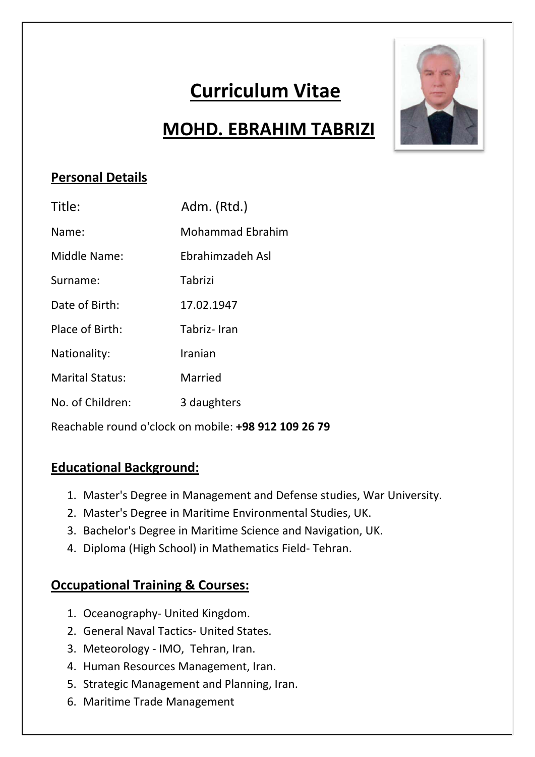# **Curriculum Vitae**

# **MOHD. EBRAHIM TABRIZI**

## **Personal Details**

| Title:                 | Adm. (Rtd.)             |
|------------------------|-------------------------|
| Name:                  | <b>Mohammad Ebrahim</b> |
| Middle Name:           | Ebrahimzadeh Asl        |
| Surname:               | Tabrizi                 |
| Date of Birth:         | 17.02.1947              |
| Place of Birth:        | Tabriz-Iran             |
| Nationality:           | Iranian                 |
| <b>Marital Status:</b> | Married                 |
| No. of Children:       | 3 daughters             |
|                        |                         |

Reachable round o'clock on mobile: **+98 912 109 26 79**

### **Educational Background:**

- 1. Master's Degree in Management and Defense studies, War University.
- 2. Master's Degree in Maritime Environmental Studies, UK.
- 3. Bachelor's Degree in Maritime Science and Navigation, UK.
- 4. Diploma (High School) in Mathematics Field‐ Tehran.

### **Occupational Training & Courses:**

- 1. Oceanography‐ United Kingdom.
- 2. General Naval Tactics‐ United States.
- 3. Meteorology ‐ IMO, Tehran, Iran.
- 4. Human Resources Management, Iran.
- 5. Strategic Management and Planning, Iran.
- 6. Maritime Trade Management